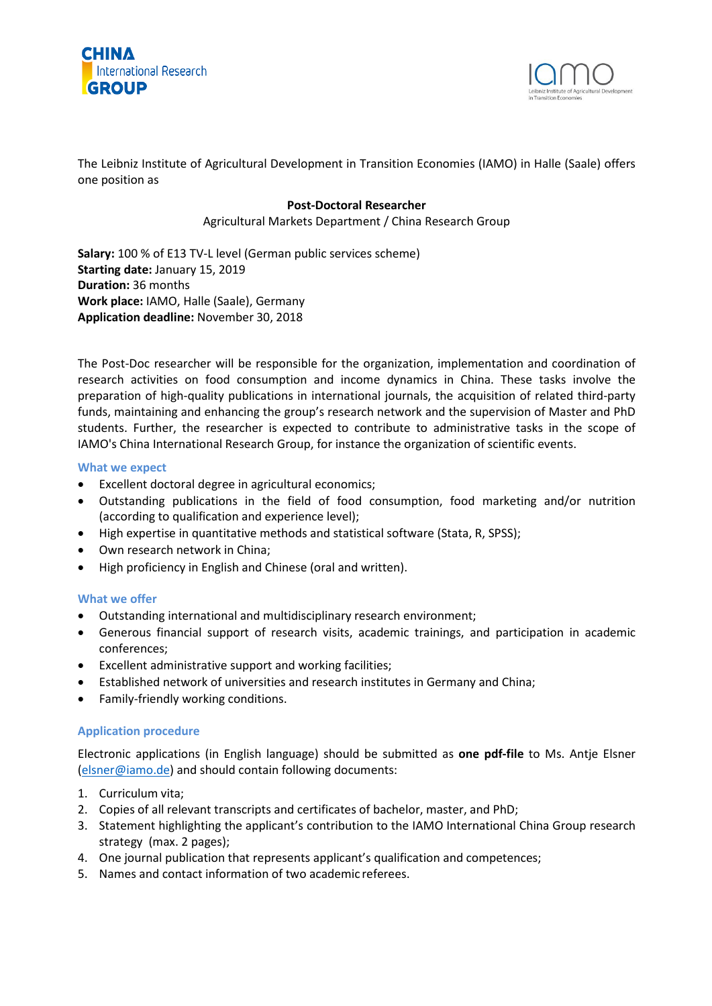



The Leibniz Institute of Agricultural Development in Transition Economies (IAMO) in Halle (Saale) offers one position as

# **Post-Doctoral Researcher**

Agricultural Markets Department / China Research Group

**Salary:** 100 % of E13 TV-L level (German public services scheme) **Starting date:** January 15, 2019 **Duration:** 36 months **Work place:** IAMO, Halle (Saale), Germany **Application deadline:** November 30, 2018

The Post-Doc researcher will be responsible for the organization, implementation and coordination of research activities on food consumption and income dynamics in China. These tasks involve the preparation of high-quality publications in international journals, the acquisition of related third-party funds, maintaining and enhancing the group's research network and the supervision of Master and PhD students. Further, the researcher is expected to contribute to administrative tasks in the scope of IAMO's China International Research Group, for instance the organization of scientific events.

## **What we expect**

- Excellent doctoral degree in agricultural economics;
- Outstanding publications in the field of food consumption, food marketing and/or nutrition (according to qualification and experience level);
- High expertise in quantitative methods and statistical software (Stata, R, SPSS);
- Own research network in China;
- High proficiency in English and Chinese (oral and written).

## **What we offer**

- Outstanding international and multidisciplinary research environment;
- Generous financial support of research visits, academic trainings, and participation in academic conferences;
- Excellent administrative support and working facilities;
- Established network of universities and research institutes in Germany and China;
- Family-friendly working conditions.

## **Application procedure**

Electronic applications (in English language) should be submitted as **one pdf-file** to Ms. Antje Elsner [\(elsner@iamo.de\)](mailto:elsner@iamo.de) and should contain following documents:

- 1. Curriculum vita;
- 2. Copies of all relevant transcripts and certificates of bachelor, master, and PhD;
- 3. Statement highlighting the applicant's contribution to the IAMO International China Group research strategy (max. 2 pages);
- 4. One journal publication that represents applicant's qualification and competences;
- 5. Names and contact information of two academic referees.